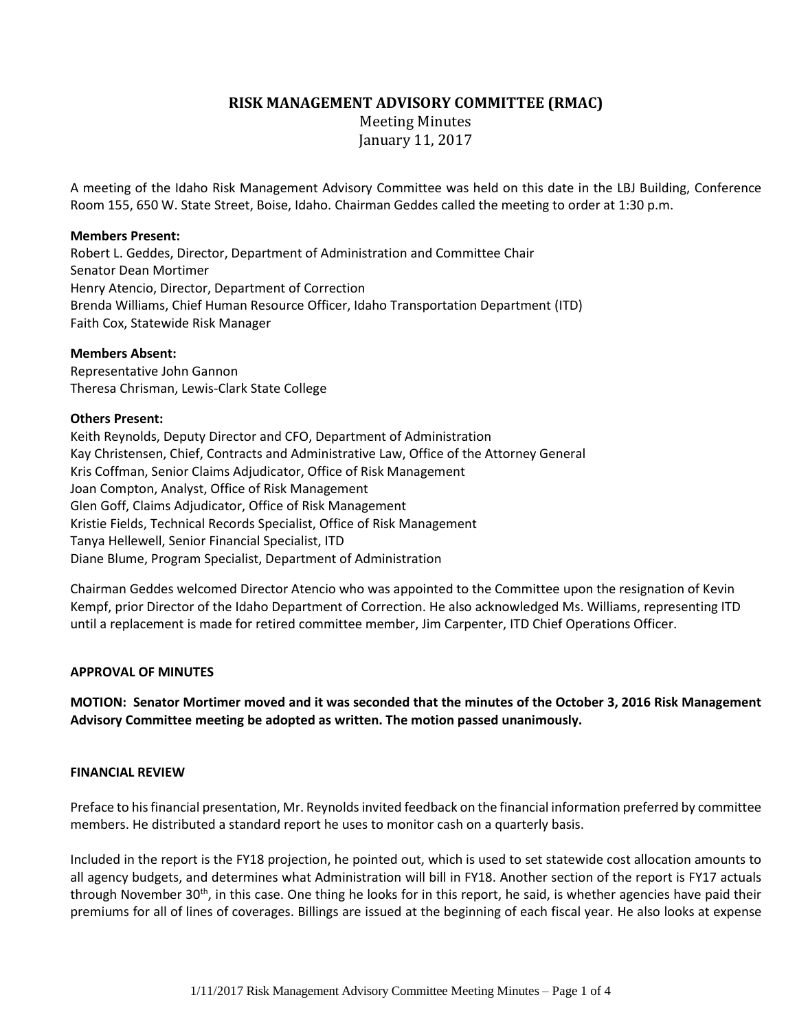**RISK MANAGEMENT ADVISORY COMMITTEE (RMAC)**

Meeting Minutes January 11, 2017

A meeting of the Idaho Risk Management Advisory Committee was held on this date in the LBJ Building, Conference Room 155, 650 W. State Street, Boise, Idaho. Chairman Geddes called the meeting to order at 1:30 p.m.

# **Members Present:**

Robert L. Geddes, Director, Department of Administration and Committee Chair Senator Dean Mortimer Henry Atencio, Director, Department of Correction Brenda Williams, Chief Human Resource Officer, Idaho Transportation Department (ITD) Faith Cox, Statewide Risk Manager

# **Members Absent:**

Representative John Gannon Theresa Chrisman, Lewis-Clark State College

# **Others Present:**

Keith Reynolds, Deputy Director and CFO, Department of Administration Kay Christensen, Chief, Contracts and Administrative Law, Office of the Attorney General Kris Coffman, Senior Claims Adjudicator, Office of Risk Management Joan Compton, Analyst, Office of Risk Management Glen Goff, Claims Adjudicator, Office of Risk Management Kristie Fields, Technical Records Specialist, Office of Risk Management Tanya Hellewell, Senior Financial Specialist, ITD Diane Blume, Program Specialist, Department of Administration

Chairman Geddes welcomed Director Atencio who was appointed to the Committee upon the resignation of Kevin Kempf, prior Director of the Idaho Department of Correction. He also acknowledged Ms. Williams, representing ITD until a replacement is made for retired committee member, Jim Carpenter, ITD Chief Operations Officer.

# **APPROVAL OF MINUTES**

**MOTION: Senator Mortimer moved and it was seconded that the minutes of the October 3, 2016 Risk Management Advisory Committee meeting be adopted as written. The motion passed unanimously.**

### **FINANCIAL REVIEW**

Preface to his financial presentation, Mr. Reynolds invited feedback on the financial information preferred by committee members. He distributed a standard report he uses to monitor cash on a quarterly basis.

Included in the report is the FY18 projection, he pointed out, which is used to set statewide cost allocation amounts to all agency budgets, and determines what Administration will bill in FY18. Another section of the report is FY17 actuals through November 30<sup>th</sup>, in this case. One thing he looks for in this report, he said, is whether agencies have paid their premiums for all of lines of coverages. Billings are issued at the beginning of each fiscal year. He also looks at expense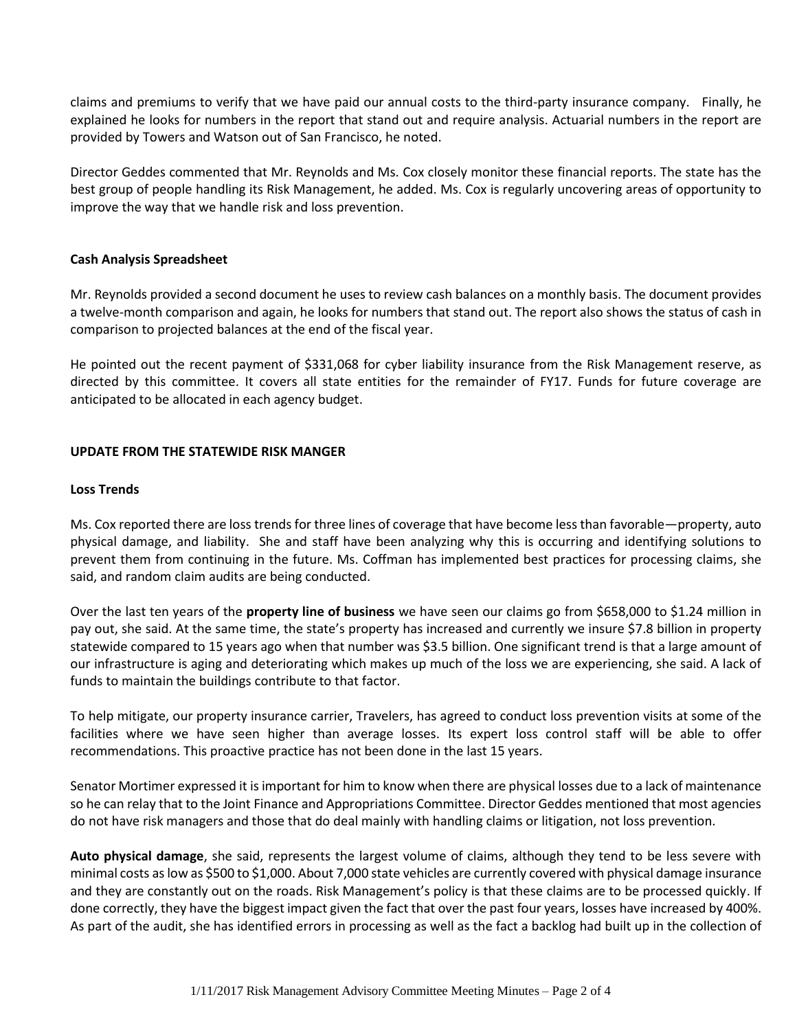claims and premiums to verify that we have paid our annual costs to the third-party insurance company. Finally, he explained he looks for numbers in the report that stand out and require analysis. Actuarial numbers in the report are provided by Towers and Watson out of San Francisco, he noted.

Director Geddes commented that Mr. Reynolds and Ms. Cox closely monitor these financial reports. The state has the best group of people handling its Risk Management, he added. Ms. Cox is regularly uncovering areas of opportunity to improve the way that we handle risk and loss prevention.

# **Cash Analysis Spreadsheet**

Mr. Reynolds provided a second document he uses to review cash balances on a monthly basis. The document provides a twelve-month comparison and again, he looks for numbers that stand out. The report also shows the status of cash in comparison to projected balances at the end of the fiscal year.

He pointed out the recent payment of \$331,068 for cyber liability insurance from the Risk Management reserve, as directed by this committee. It covers all state entities for the remainder of FY17. Funds for future coverage are anticipated to be allocated in each agency budget.

### **UPDATE FROM THE STATEWIDE RISK MANGER**

#### **Loss Trends**

Ms. Cox reported there are loss trends for three lines of coverage that have become less than favorable—property, auto physical damage, and liability. She and staff have been analyzing why this is occurring and identifying solutions to prevent them from continuing in the future. Ms. Coffman has implemented best practices for processing claims, she said, and random claim audits are being conducted.

Over the last ten years of the **property line of business** we have seen our claims go from \$658,000 to \$1.24 million in pay out, she said. At the same time, the state's property has increased and currently we insure \$7.8 billion in property statewide compared to 15 years ago when that number was \$3.5 billion. One significant trend is that a large amount of our infrastructure is aging and deteriorating which makes up much of the loss we are experiencing, she said. A lack of funds to maintain the buildings contribute to that factor.

To help mitigate, our property insurance carrier, Travelers, has agreed to conduct loss prevention visits at some of the facilities where we have seen higher than average losses. Its expert loss control staff will be able to offer recommendations. This proactive practice has not been done in the last 15 years.

Senator Mortimer expressed it is important for him to know when there are physical losses due to a lack of maintenance so he can relay that to the Joint Finance and Appropriations Committee. Director Geddes mentioned that most agencies do not have risk managers and those that do deal mainly with handling claims or litigation, not loss prevention.

**Auto physical damage**, she said, represents the largest volume of claims, although they tend to be less severe with minimal costs as low as \$500 to \$1,000. About 7,000 state vehicles are currently covered with physical damage insurance and they are constantly out on the roads. Risk Management's policy is that these claims are to be processed quickly. If done correctly, they have the biggest impact given the fact that over the past four years, losses have increased by 400%. As part of the audit, she has identified errors in processing as well as the fact a backlog had built up in the collection of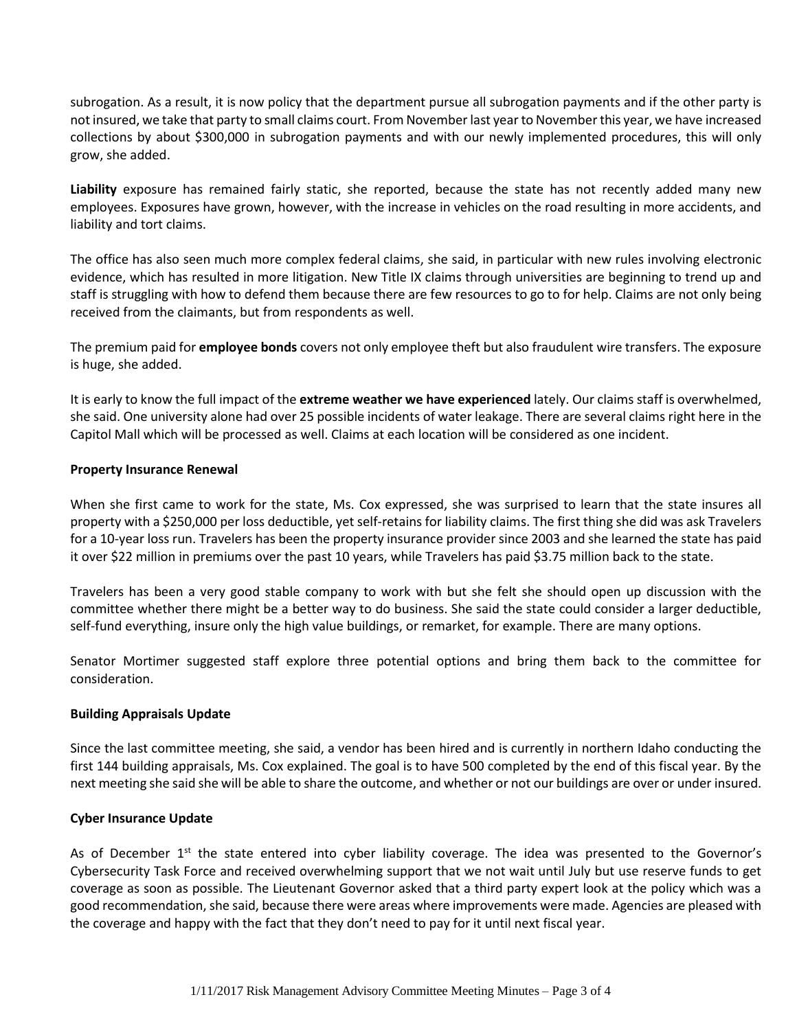subrogation. As a result, it is now policy that the department pursue all subrogation payments and if the other party is not insured, we take that party to small claims court. From November last year to November this year, we have increased collections by about \$300,000 in subrogation payments and with our newly implemented procedures, this will only grow, she added.

**Liability** exposure has remained fairly static, she reported, because the state has not recently added many new employees. Exposures have grown, however, with the increase in vehicles on the road resulting in more accidents, and liability and tort claims.

The office has also seen much more complex federal claims, she said, in particular with new rules involving electronic evidence, which has resulted in more litigation. New Title IX claims through universities are beginning to trend up and staff is struggling with how to defend them because there are few resources to go to for help. Claims are not only being received from the claimants, but from respondents as well.

The premium paid for **employee bonds** covers not only employee theft but also fraudulent wire transfers. The exposure is huge, she added.

It is early to know the full impact of the **extreme weather we have experienced** lately. Our claims staff is overwhelmed, she said. One university alone had over 25 possible incidents of water leakage. There are several claims right here in the Capitol Mall which will be processed as well. Claims at each location will be considered as one incident.

# **Property Insurance Renewal**

When she first came to work for the state, Ms. Cox expressed, she was surprised to learn that the state insures all property with a \$250,000 per loss deductible, yet self-retains for liability claims. The first thing she did was ask Travelers for a 10-year loss run. Travelers has been the property insurance provider since 2003 and she learned the state has paid it over \$22 million in premiums over the past 10 years, while Travelers has paid \$3.75 million back to the state.

Travelers has been a very good stable company to work with but she felt she should open up discussion with the committee whether there might be a better way to do business. She said the state could consider a larger deductible, self-fund everything, insure only the high value buildings, or remarket, for example. There are many options.

Senator Mortimer suggested staff explore three potential options and bring them back to the committee for consideration.

#### **Building Appraisals Update**

Since the last committee meeting, she said, a vendor has been hired and is currently in northern Idaho conducting the first 144 building appraisals, Ms. Cox explained. The goal is to have 500 completed by the end of this fiscal year. By the next meeting she said she will be able to share the outcome, and whether or not our buildings are over or under insured.

#### **Cyber Insurance Update**

As of December  $1<sup>st</sup>$  the state entered into cyber liability coverage. The idea was presented to the Governor's Cybersecurity Task Force and received overwhelming support that we not wait until July but use reserve funds to get coverage as soon as possible. The Lieutenant Governor asked that a third party expert look at the policy which was a good recommendation, she said, because there were areas where improvements were made. Agencies are pleased with the coverage and happy with the fact that they don't need to pay for it until next fiscal year.